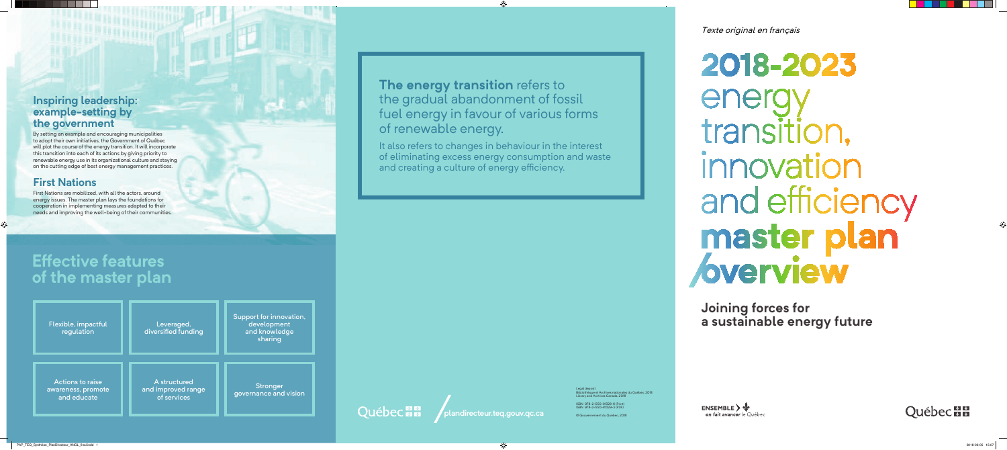# **Effective features of the master plan**

### **Inspiring leadership: example-setting by the government**

By setting an example and encouraging municipalities to adopt their own initiatives, the Government of Québec will plot the course of the energy transition. It will incorporate this transition into each of its actions by giving priority to renewable energy use in its organizational culture and staying on the cutting edge of best energy management practices.

**The Past Assembly** 

## **First Nations**

It also refers to changes in behaviour in the interest of eliminating excess energy consumption and waste and creating a culture of energy efficiency.

First Nations are mobilized, with all the actors, around energy issues. The master plan lays the foundations for cooperation in implementing measures adapted to their needs and improving the well-being of their communities.

Flexible, impactful regulation Actions to raise awareness, promote and educate Leveraged, diversified funding A structured and improved range of services Support for innovation, development and knowledge sharing **Stronger** governance and vision

**Québec ma** 



# **The energy transition** refers to the gradual abandonment of fossil fuel energy in favour of various forms of renewable energy.

**Joining forces for a sustainable energy future**

Legal deposit Bibliothèque et Archives nationales du Québec, 2018 Library and Archives Canada, 2018

ISBN 978-2-550-81328-6 (Print) ISBN 978-2-550-81329-3 (PDF)

© Gouvernement du Québec, 2018

**ENSEMBLE**  $\rightarrow \psi$ on fait avancer le Québec



Texte original en français

2018-2023 ener transition, innovation and efficiency master plan *bverview*